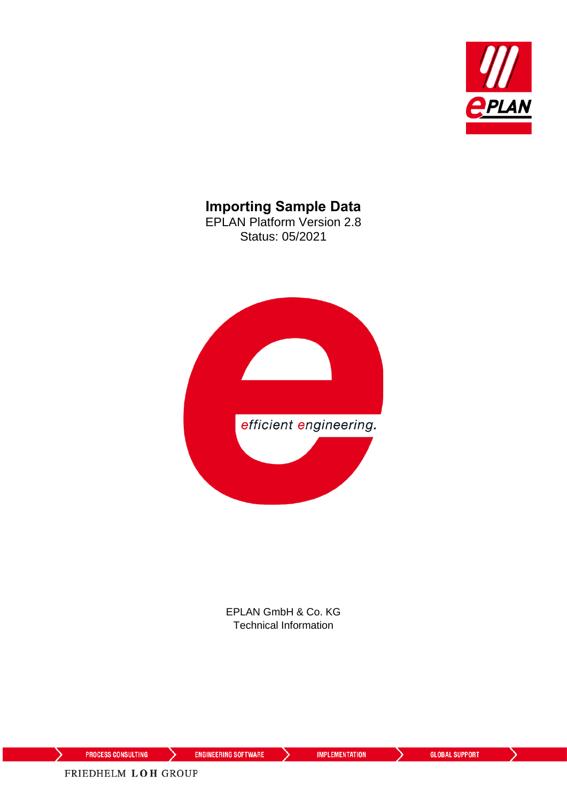

### **Importing Sample Data**

EPLAN Platform Version 2.8 Status: 05/2021



EPLAN GmbH & Co. KG Technical Information

⟩

ゝ

**IMPLEMENTATION** 

ゝ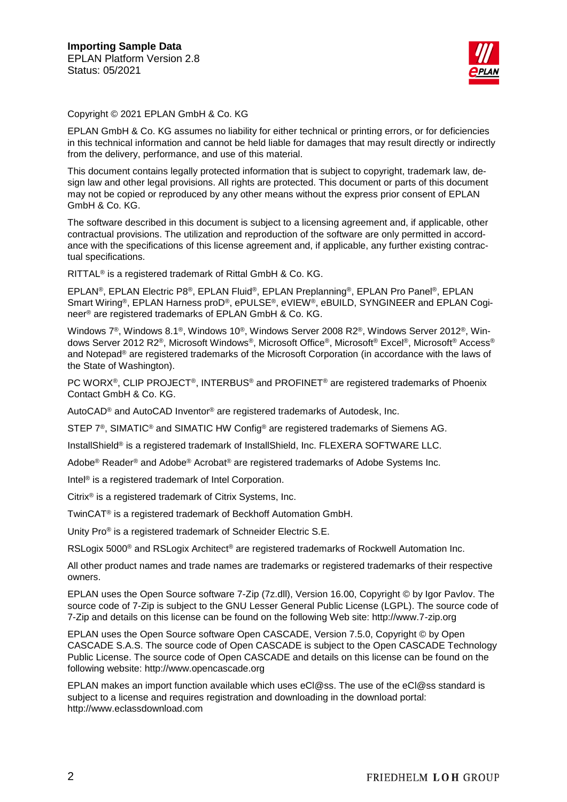

Copyright © 2021 EPLAN GmbH & Co. KG

EPLAN GmbH & Co. KG assumes no liability for either technical or printing errors, or for deficiencies in this technical information and cannot be held liable for damages that may result directly or indirectly from the delivery, performance, and use of this material.

This document contains legally protected information that is subject to copyright, trademark law, design law and other legal provisions. All rights are protected. This document or parts of this document may not be copied or reproduced by any other means without the express prior consent of EPLAN GmbH & Co. KG.

The software described in this document is subject to a licensing agreement and, if applicable, other contractual provisions. The utilization and reproduction of the software are only permitted in accordance with the specifications of this license agreement and, if applicable, any further existing contractual specifications.

RITTAL® is a registered trademark of Rittal GmbH & Co. KG.

EPLAN®, EPLAN Electric P8®, EPLAN Fluid®, EPLAN Preplanning®, EPLAN Pro Panel®, EPLAN Smart Wiring®, EPLAN Harness proD®, ePULSE®, eVIEW®, eBUILD, SYNGINEER and EPLAN Cogineer® are registered trademarks of EPLAN GmbH & Co. KG.

Windows 7®, Windows 8.1®, Windows 10®, Windows Server 2008 R2®, Windows Server 2012®, Windows Server 2012 R2®, Microsoft Windows®, Microsoft Office®, Microsoft® Excel®, Microsoft® Access® and Notepad® are registered trademarks of the Microsoft Corporation (in accordance with the laws of the State of Washington).

PC WORX®, CLIP PROJECT®, INTERBUS® and PROFINET® are registered trademarks of Phoenix Contact GmbH & Co. KG.

AutoCAD® and AutoCAD Inventor® are registered trademarks of Autodesk, Inc.

STEP 7<sup>®</sup>, SIMATIC<sup>®</sup> and SIMATIC HW Config<sup>®</sup> are registered trademarks of Siemens AG.

InstallShield<sup>®</sup> is a registered trademark of InstallShield, Inc. FLEXERA SOFTWARE LLC.

Adobe® Reader® and Adobe® Acrobat® are registered trademarks of Adobe Systems Inc.

Intel® is a registered trademark of Intel Corporation.

Citrix® is a registered trademark of Citrix Systems, Inc.

TwinCAT® is a registered trademark of Beckhoff Automation GmbH.

Unity Pro® is a registered trademark of Schneider Electric S.E.

RSLogix 5000<sup>®</sup> and RSLogix Architect<sup>®</sup> are registered trademarks of Rockwell Automation Inc.

All other product names and trade names are trademarks or registered trademarks of their respective owners.

EPLAN uses the Open Source software 7-Zip (7z.dll), Version 16.00, Copyright © by Igor Pavlov. The source code of 7-Zip is subject to the GNU Lesser General Public License (LGPL). The source code of 7-Zip and details on this license can be found on the following Web site: http://www.7-zip.org

EPLAN uses the Open Source software Open CASCADE, Version 7.5.0, Copyright © by Open CASCADE S.A.S. The source code of Open CASCADE is subject to the Open CASCADE Technology Public License. The source code of Open CASCADE and details on this license can be found on the following website: http://www.opencascade.org

EPLAN makes an import function available which uses eCl@ss. The use of the eCl@ss standard is subject to a license and requires registration and downloading in the download portal: http://www.eclassdownload.com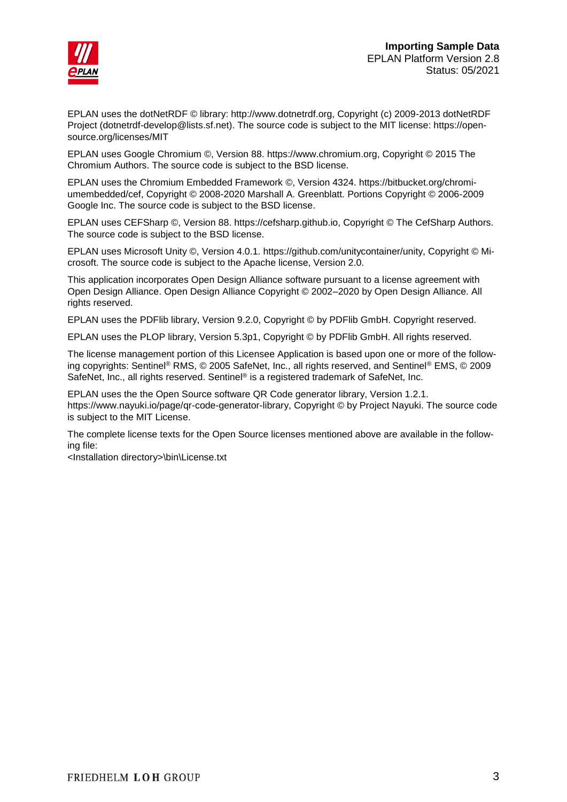

EPLAN uses the dotNetRDF © library: http://www.dotnetrdf.org, Copyright (c) 2009-2013 dotNetRDF Project (dotnetrdf-develop@lists.sf.net). The source code is subject to the MIT license: https://opensource.org/licenses/MIT

EPLAN uses Google Chromium ©, Version 88. https://www.chromium.org, Copyright © 2015 The Chromium Authors. The source code is subject to the BSD license.

EPLAN uses the Chromium Embedded Framework ©, Version 4324. https://bitbucket.org/chromiumembedded/cef, Copyright © 2008-2020 Marshall A. Greenblatt. Portions Copyright © 2006-2009 Google Inc. The source code is subject to the BSD license.

EPLAN uses CEFSharp ©, Version 88. https://cefsharp.github.io, Copyright © The CefSharp Authors. The source code is subject to the BSD license.

EPLAN uses Microsoft Unity ©, Version 4.0.1. https://github.com/unitycontainer/unity, Copyright © Microsoft. The source code is subject to the Apache license, Version 2.0.

This application incorporates Open Design Alliance software pursuant to a license agreement with Open Design Alliance. Open Design Alliance Copyright © 2002–2020 by Open Design Alliance. All rights reserved.

EPLAN uses the PDFlib library, Version 9.2.0, Copyright © by PDFlib GmbH. Copyright reserved.

EPLAN uses the PLOP library, Version 5.3p1, Copyright © by PDFlib GmbH. All rights reserved.

The license management portion of this Licensee Application is based upon one or more of the following copyrights: Sentinel® RMS, © 2005 SafeNet, Inc., all rights reserved, and Sentinel® EMS, © 2009 SafeNet, Inc., all rights reserved. Sentinel® is a registered trademark of SafeNet, Inc.

EPLAN uses the the Open Source software QR Code generator library, Version 1.2.1. https://www.nayuki.io/page/qr-code-generator-library, Copyright © by Project Nayuki. The source code is subject to the MIT License.

The complete license texts for the Open Source licenses mentioned above are available in the following file:

<Installation directory>\bin\License.txt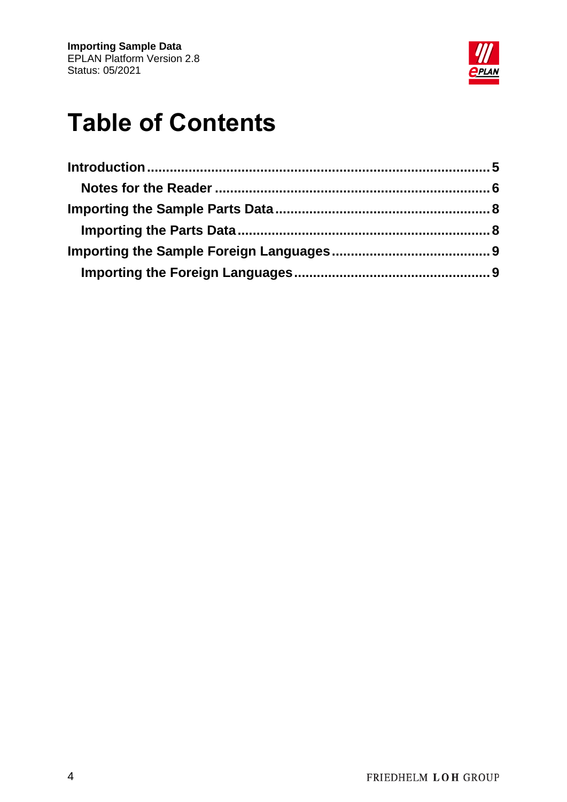

# **Table of Contents**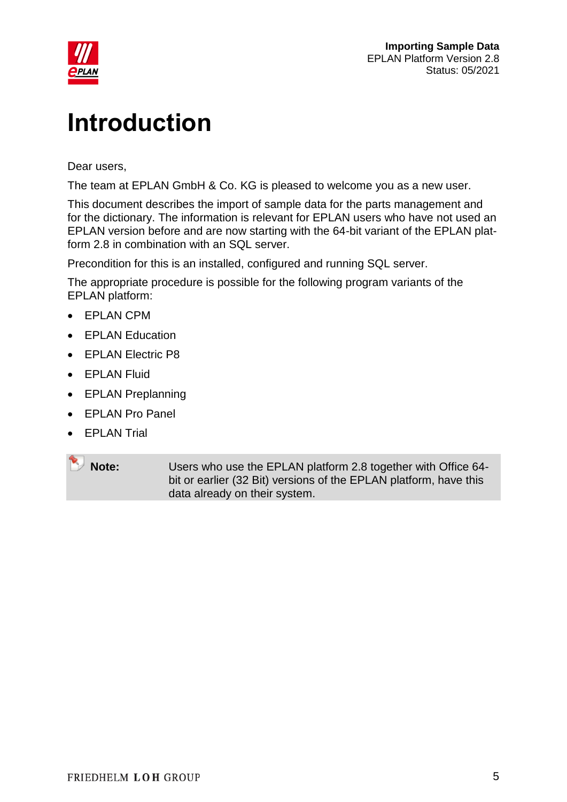

## <span id="page-4-0"></span>**Introduction**

Dear users,

The team at EPLAN GmbH & Co. KG is pleased to welcome you as a new user.

This document describes the import of sample data for the parts management and for the dictionary. The information is relevant for EPLAN users who have not used an EPLAN version before and are now starting with the 64-bit variant of the EPLAN platform 2.8 in combination with an SQL server.

Precondition for this is an installed, configured and running SQL server.

The appropriate procedure is possible for the following program variants of the EPLAN platform:

- EPLAN CPM
- EPLAN Education
- **EPLAN Electric P8**
- **•** EPLAN Fluid
- EPLAN Preplanning
- EPLAN Pro Panel
- **•** EPLAN Trial

**Note:** Users who use the EPLAN platform 2.8 together with Office 64 bit or earlier (32 Bit) versions of the EPLAN platform, have this data already on their system.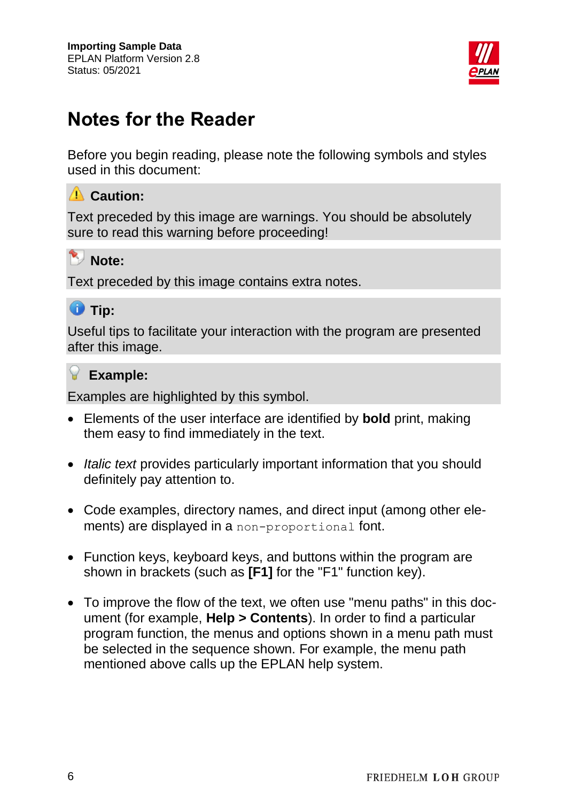

### <span id="page-5-0"></span>**Notes for the Reader**

Before you begin reading, please note the following symbols and styles used in this document:

#### **Caution:**

Text preceded by this image are warnings. You should be absolutely sure to read this warning before proceeding!

### **Note:**

Text preceded by this image contains extra notes.



Useful tips to facilitate your interaction with the program are presented after this image.

#### **Example:**

Examples are highlighted by this symbol.

- Elements of the user interface are identified by **bold** print, making them easy to find immediately in the text.
- *Italic text* provides particularly important information that you should definitely pay attention to.
- Code examples, directory names, and direct input (among other elements) are displayed in a non-proportional font.
- Function keys, keyboard keys, and buttons within the program are shown in brackets (such as **[F1]** for the "F1" function key).
- To improve the flow of the text, we often use "menu paths" in this document (for example, **Help > Contents**). In order to find a particular program function, the menus and options shown in a menu path must be selected in the sequence shown. For example, the menu path mentioned above calls up the EPLAN help system.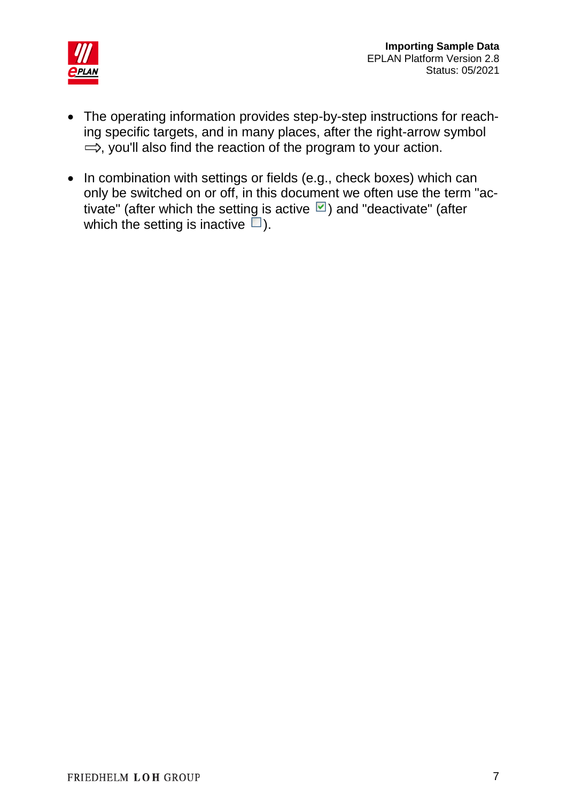

- The operating information provides step-by-step instructions for reaching specific targets, and in many places, after the right-arrow symbol  $\Rightarrow$ , you'll also find the reaction of the program to your action.
- In combination with settings or fields (e.g., check boxes) which can only be switched on or off, in this document we often use the term "activate" (after which the setting is active  $\Box$ ) and "deactivate" (after which the setting is inactive  $\Box$ ).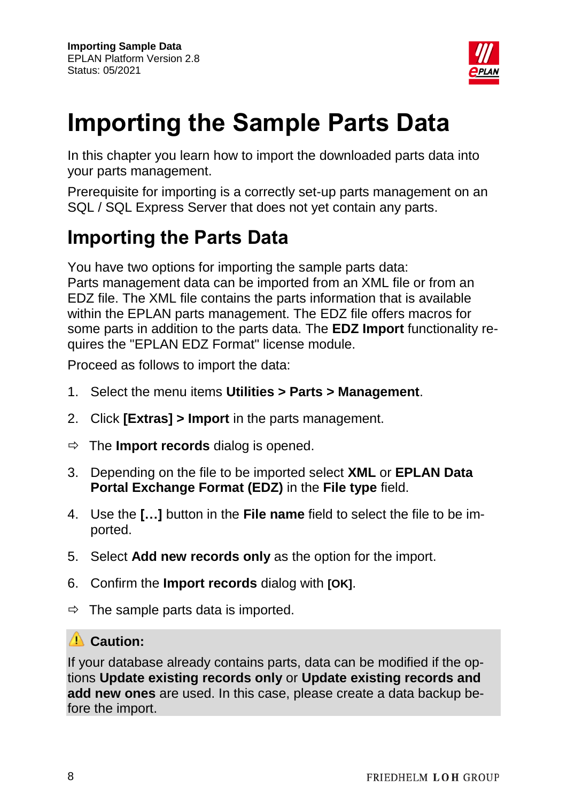

## <span id="page-7-0"></span>**Importing the Sample Parts Data**

In this chapter you learn how to import the downloaded parts data into your parts management.

Prerequisite for importing is a correctly set-up parts management on an SQL / SQL Express Server that does not yet contain any parts.

### <span id="page-7-1"></span>**Importing the Parts Data**

You have two options for importing the sample parts data: Parts management data can be imported from an XML file or from an EDZ file. The XML file contains the parts information that is available within the EPLAN parts management. The EDZ file offers macros for some parts in addition to the parts data. The **EDZ Import** functionality requires the "EPLAN EDZ Format" license module.

Proceed as follows to import the data:

- 1. Select the menu items **Utilities > Parts > Management**.
- 2. Click **[Extras] > Import** in the parts management.
- The **Import records** dialog is opened.
- 3. Depending on the file to be imported select **XML** or **EPLAN Data Portal Exchange Format (EDZ)** in the **File type** field.
- 4. Use the **[…]** button in the **File name** field to select the file to be imported.
- 5. Select **Add new records only** as the option for the import.
- 6. Confirm the **Import records** dialog with **[OK]**.
- $\Rightarrow$  The sample parts data is imported.

#### **Caution:**

If your database already contains parts, data can be modified if the options **Update existing records only** or **Update existing records and add new ones** are used. In this case, please create a data backup before the import.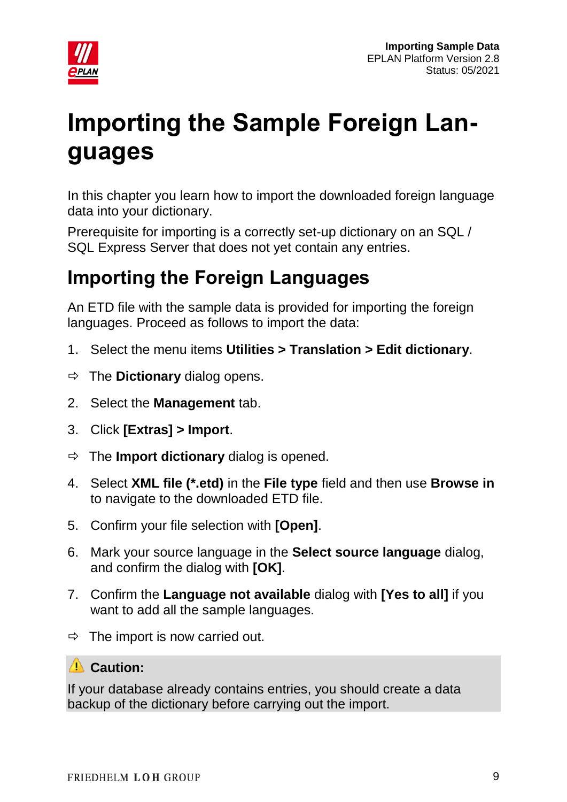

# <span id="page-8-0"></span>**Importing the Sample Foreign Languages**

In this chapter you learn how to import the downloaded foreign language data into your dictionary.

Prerequisite for importing is a correctly set-up dictionary on an SQL / SQL Express Server that does not yet contain any entries.

## <span id="page-8-1"></span>**Importing the Foreign Languages**

An ETD file with the sample data is provided for importing the foreign languages. Proceed as follows to import the data:

- 1. Select the menu items **Utilities > Translation > Edit dictionary**.
- $\Rightarrow$  The **Dictionary** dialog opens.
- 2. Select the **Management** tab.
- 3. Click **[Extras] > Import**.
- $\Rightarrow$  The **Import dictionary** dialog is opened.
- 4. Select **XML file (\*.etd)** in the **File type** field and then use **Browse in** to navigate to the downloaded ETD file.
- 5. Confirm your file selection with **[Open]**.
- 6. Mark your source language in the **Select source language** dialog, and confirm the dialog with **[OK]**.
- 7. Confirm the **Language not available** dialog with **[Yes to all]** if you want to add all the sample languages.
- $\Rightarrow$  The import is now carried out.

### **Caution:**

If your database already contains entries, you should create a data backup of the dictionary before carrying out the import.